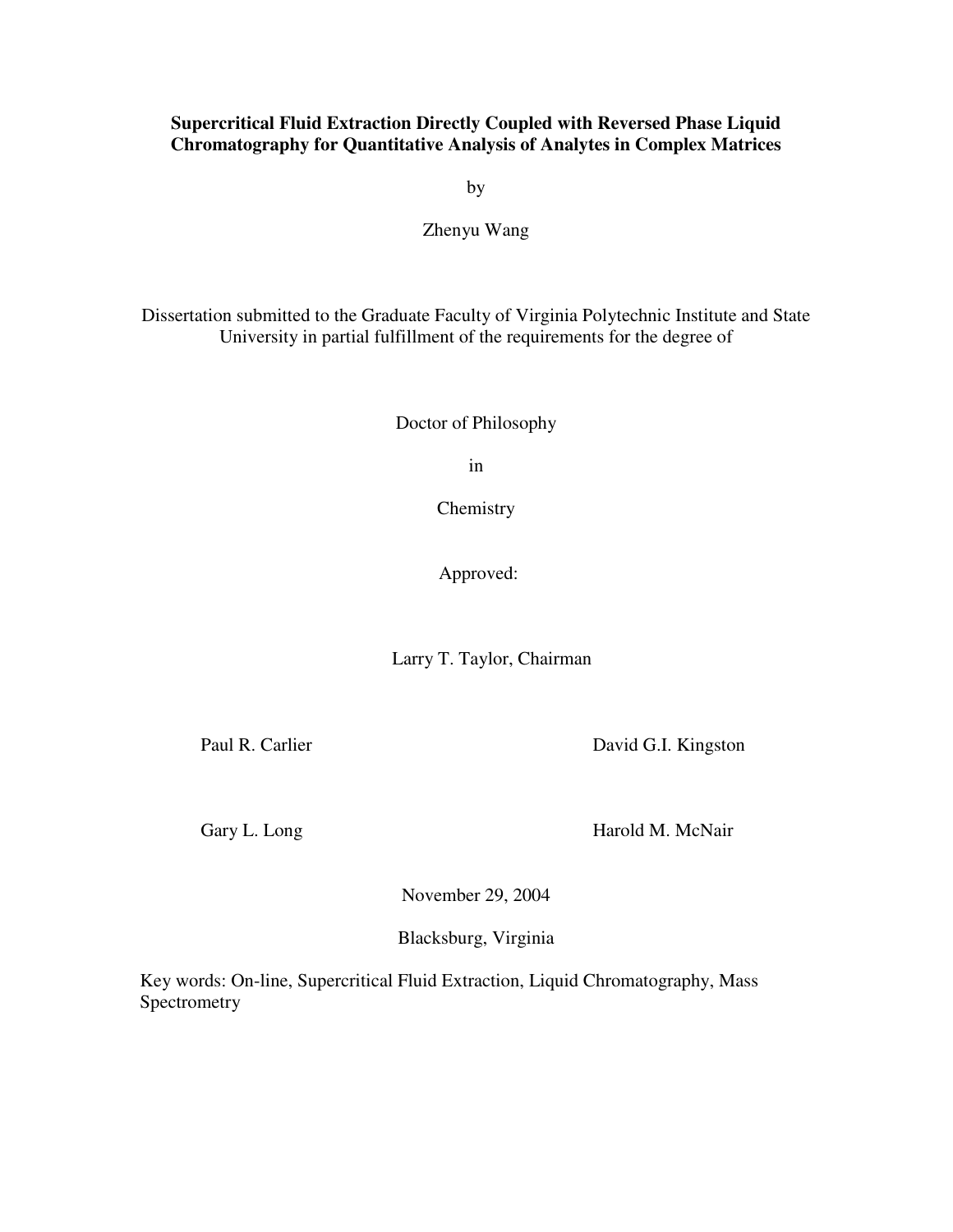### **Supercritical Fluid Extraction Directly Coupled with Reversed Phase Liquid Chromatography for Quantitative Analysis of Analytes in Complex Matrices**

by

#### Zhenyu Wang

Dissertation submitted to the Graduate Faculty of Virginia Polytechnic Institute and State University in partial fulfillment of the requirements for the degree of

Doctor of Philosophy

in

Chemistry

Approved:

Larry T. Taylor, Chairman

Paul R. Carlier David G.I. Kingston

Gary L. Long Harold M. McNair

November 29, 2004

Blacksburg, Virginia

Key words: On-line, Supercritical Fluid Extraction, Liquid Chromatography, Mass Spectrometry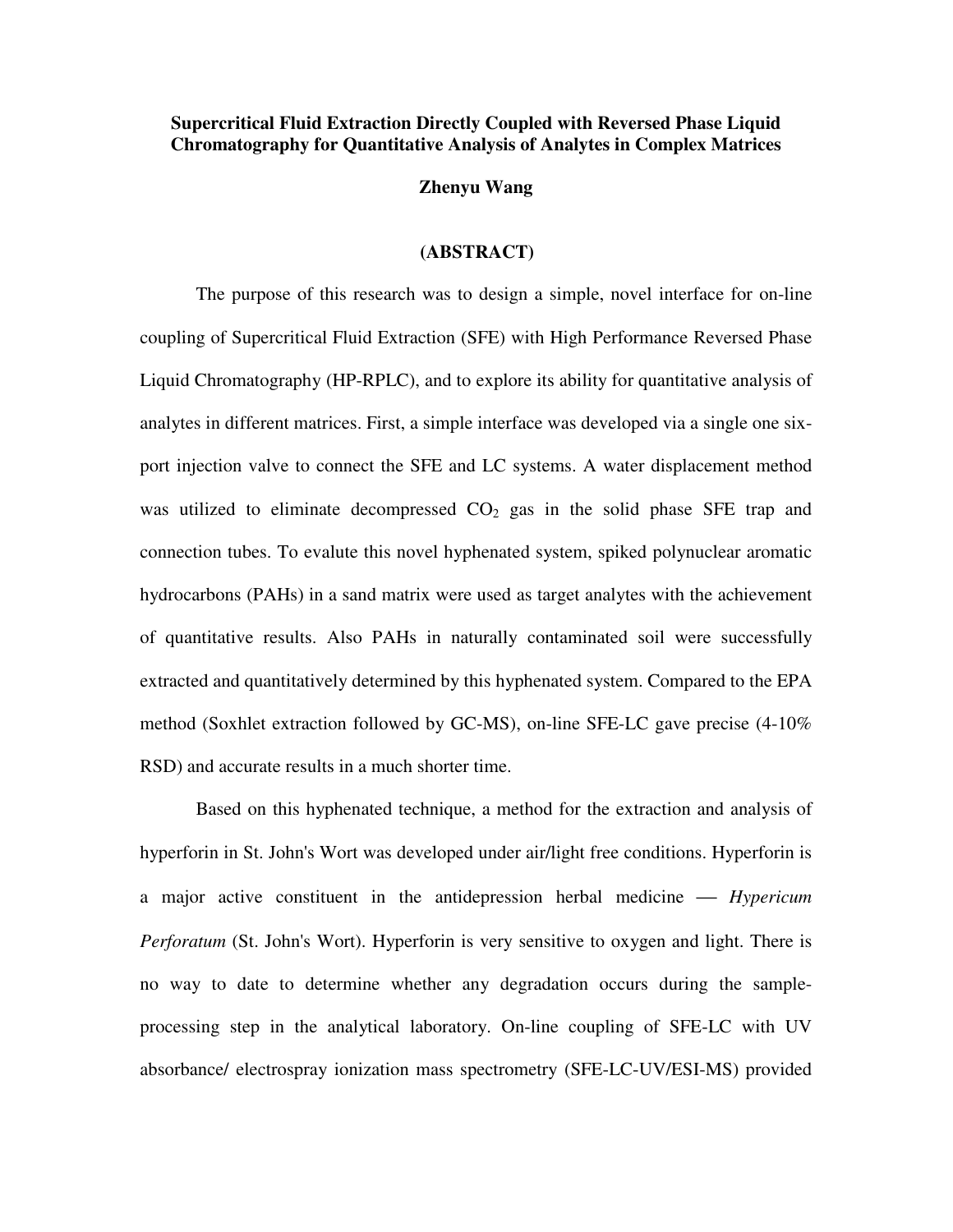#### **Supercritical Fluid Extraction Directly Coupled with Reversed Phase Liquid Chromatography for Quantitative Analysis of Analytes in Complex Matrices**

### **Zhenyu Wang**

#### **(ABSTRACT)**

The purpose of this research was to design a simple, novel interface for on-line coupling of Supercritical Fluid Extraction (SFE) with High Performance Reversed Phase Liquid Chromatography (HP-RPLC), and to explore its ability for quantitative analysis of analytes in different matrices. First, a simple interface was developed via a single one sixport injection valve to connect the SFE and LC systems. A water displacement method was utilized to eliminate decompressed  $CO<sub>2</sub>$  gas in the solid phase SFE trap and connection tubes. To evalute this novel hyphenated system, spiked polynuclear aromatic hydrocarbons (PAHs) in a sand matrix were used as target analytes with the achievement of quantitative results. Also PAHs in naturally contaminated soil were successfully extracted and quantitatively determined by this hyphenated system. Compared to the EPA method (Soxhlet extraction followed by GC-MS), on-line SFE-LC gave precise (4-10% RSD) and accurate results in a much shorter time.

Based on this hyphenated technique, a method for the extraction and analysis of hyperforin in St. John's Wort was developed under air/light free conditions. Hyperforin is a major active constituent in the antidepression herbal medicine *Hypericum Perforatum* (St. John's Wort). Hyperforin is very sensitive to oxygen and light. There is no way to date to determine whether any degradation occurs during the sampleprocessing step in the analytical laboratory. On-line coupling of SFE-LC with UV absorbance/ electrospray ionization mass spectrometry (SFE-LC-UV/ESI-MS) provided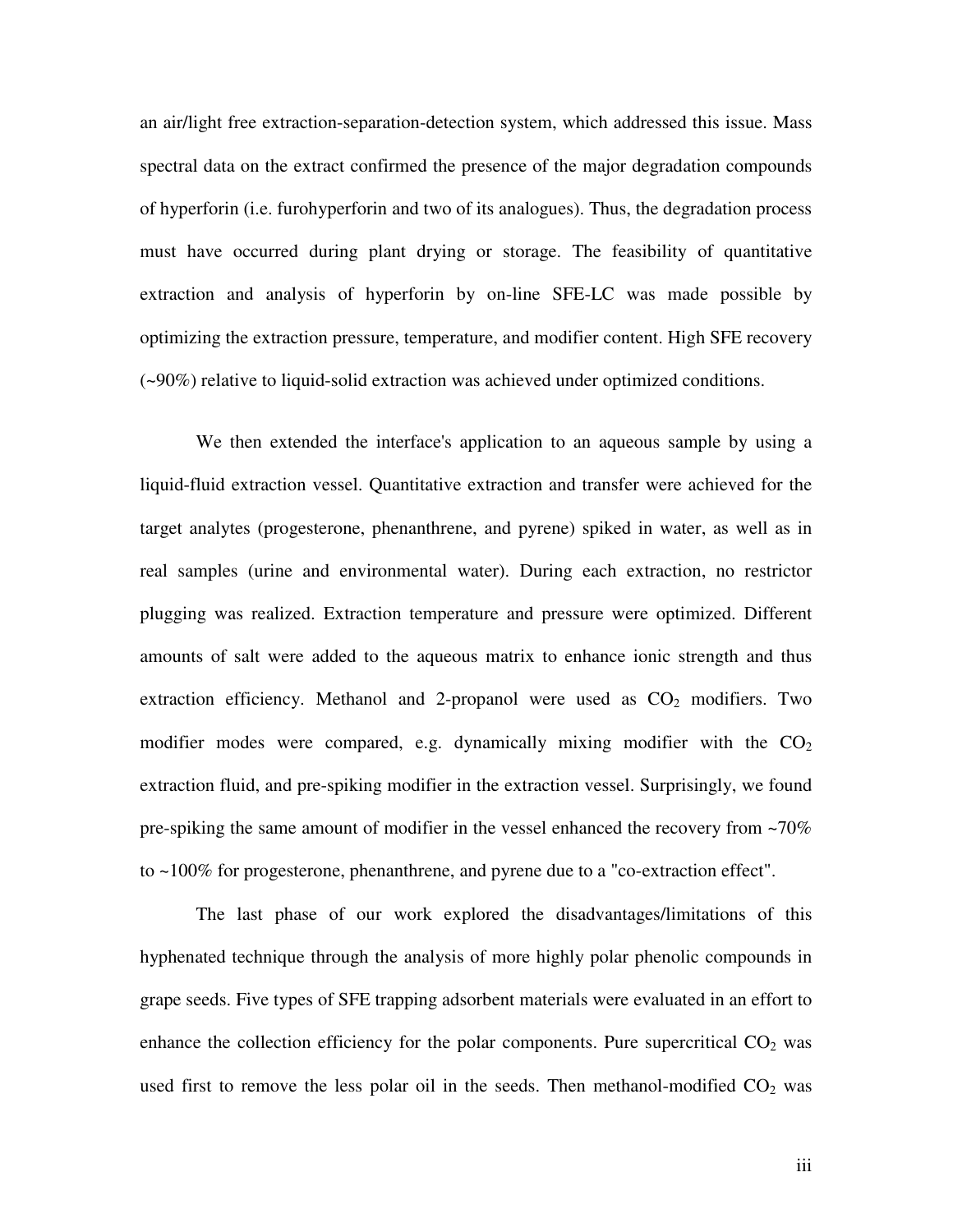an air/light free extraction-separation-detection system, which addressed this issue. Mass spectral data on the extract confirmed the presence of the major degradation compounds of hyperforin (i.e. furohyperforin and two of its analogues). Thus, the degradation process must have occurred during plant drying or storage. The feasibility of quantitative extraction and analysis of hyperforin by on-line SFE-LC was made possible by optimizing the extraction pressure, temperature, and modifier content. High SFE recovery (~90%) relative to liquid-solid extraction was achieved under optimized conditions.

We then extended the interface's application to an aqueous sample by using a liquid-fluid extraction vessel. Quantitative extraction and transfer were achieved for the target analytes (progesterone, phenanthrene, and pyrene) spiked in water, as well as in real samples (urine and environmental water). During each extraction, no restrictor plugging was realized. Extraction temperature and pressure were optimized. Different amounts of salt were added to the aqueous matrix to enhance ionic strength and thus extraction efficiency. Methanol and 2-propanol were used as  $CO<sub>2</sub>$  modifiers. Two modifier modes were compared, e.g. dynamically mixing modifier with the  $CO<sub>2</sub>$ extraction fluid, and pre-spiking modifier in the extraction vessel. Surprisingly, we found pre-spiking the same amount of modifier in the vessel enhanced the recovery from ~70% to ~100% for progesterone, phenanthrene, and pyrene due to a "co-extraction effect".

The last phase of our work explored the disadvantages/limitations of this hyphenated technique through the analysis of more highly polar phenolic compounds in grape seeds. Five types of SFE trapping adsorbent materials were evaluated in an effort to enhance the collection efficiency for the polar components. Pure supercritical  $CO<sub>2</sub>$  was used first to remove the less polar oil in the seeds. Then methanol-modified  $CO<sub>2</sub>$  was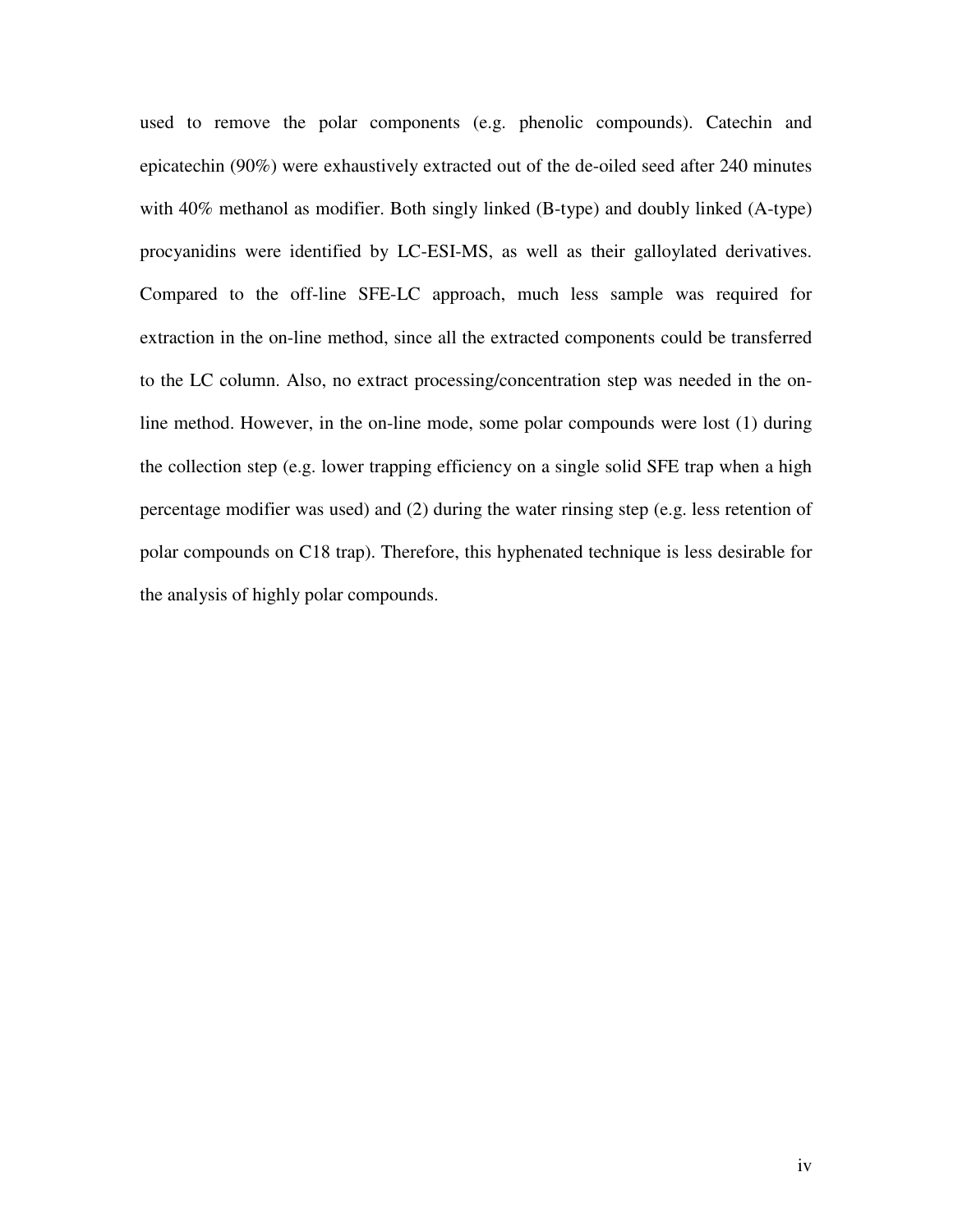used to remove the polar components (e.g. phenolic compounds). Catechin and epicatechin (90%) were exhaustively extracted out of the de-oiled seed after 240 minutes with 40% methanol as modifier. Both singly linked (B-type) and doubly linked (A-type) procyanidins were identified by LC-ESI-MS, as well as their galloylated derivatives. Compared to the off-line SFE-LC approach, much less sample was required for extraction in the on-line method, since all the extracted components could be transferred to the LC column. Also, no extract processing/concentration step was needed in the online method. However, in the on-line mode, some polar compounds were lost (1) during the collection step (e.g. lower trapping efficiency on a single solid SFE trap when a high percentage modifier was used) and (2) during the water rinsing step (e.g. less retention of polar compounds on C18 trap). Therefore, this hyphenated technique is less desirable for the analysis of highly polar compounds.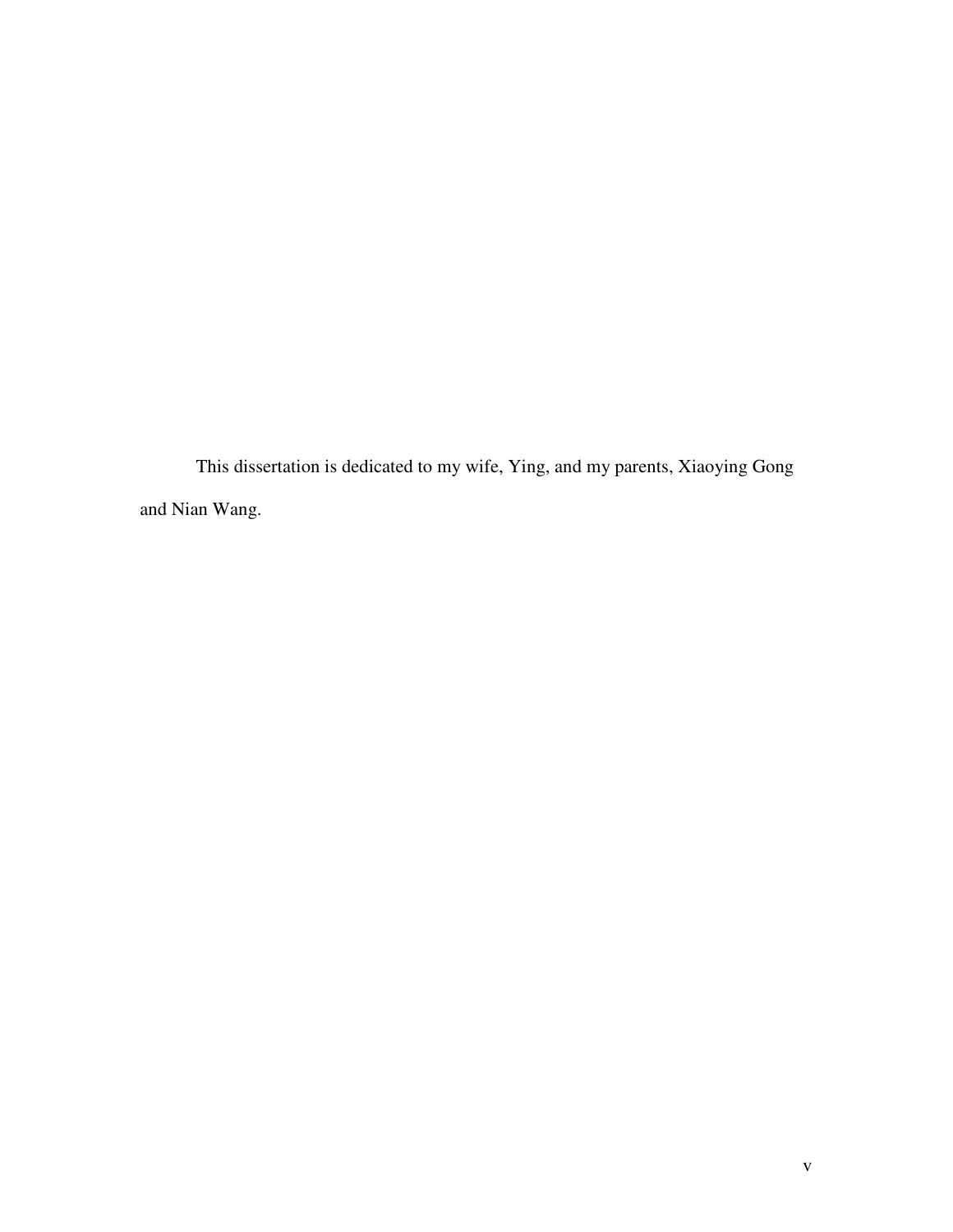This dissertation is dedicated to my wife, Ying, and my parents, Xiaoying Gong and Nian Wang.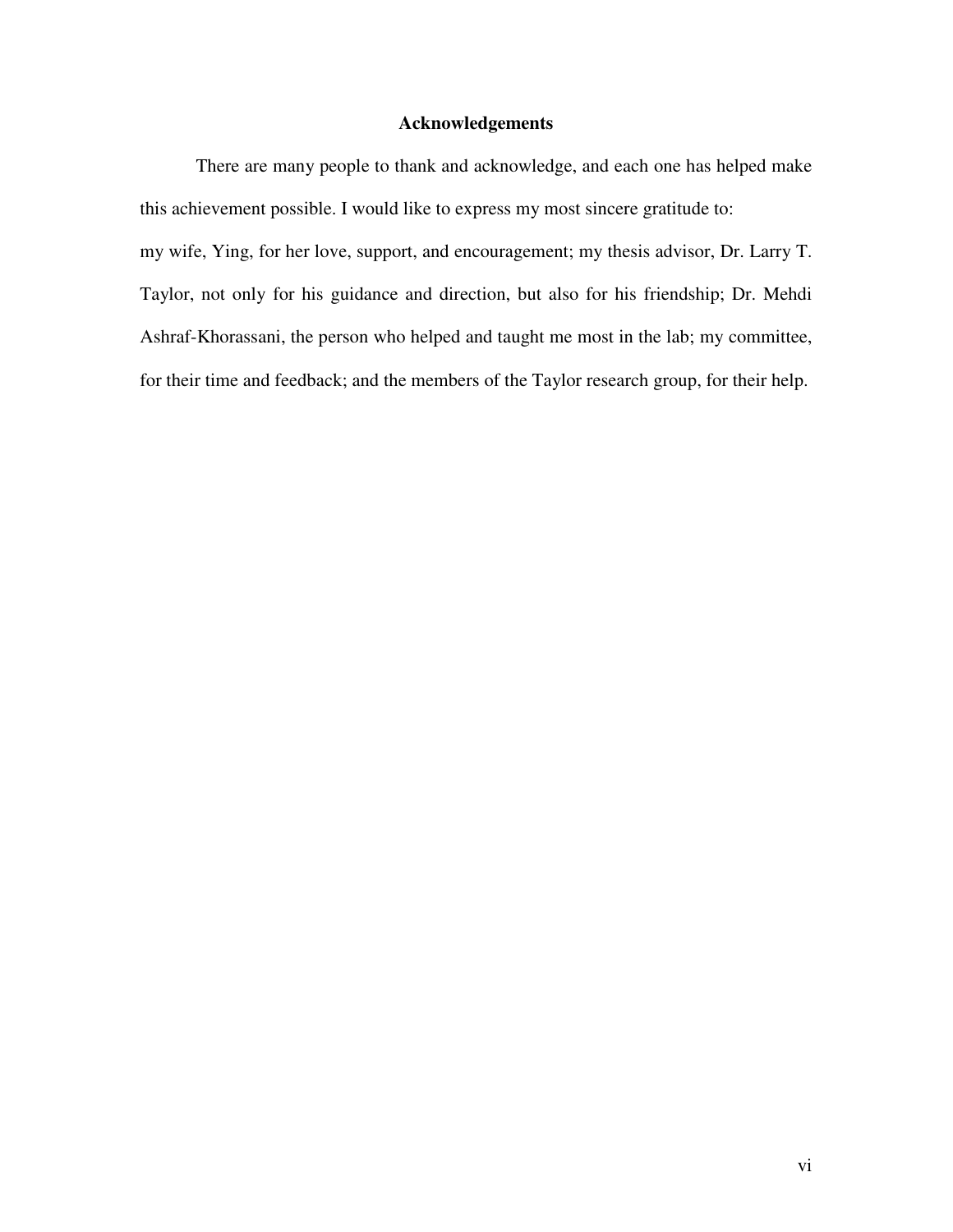#### **Acknowledgements**

There are many people to thank and acknowledge, and each one has helped make this achievement possible. I would like to express my most sincere gratitude to: my wife, Ying, for her love, support, and encouragement; my thesis advisor, Dr. Larry T. Taylor, not only for his guidance and direction, but also for his friendship; Dr. Mehdi Ashraf-Khorassani, the person who helped and taught me most in the lab; my committee, for their time and feedback; and the members of the Taylor research group, for their help.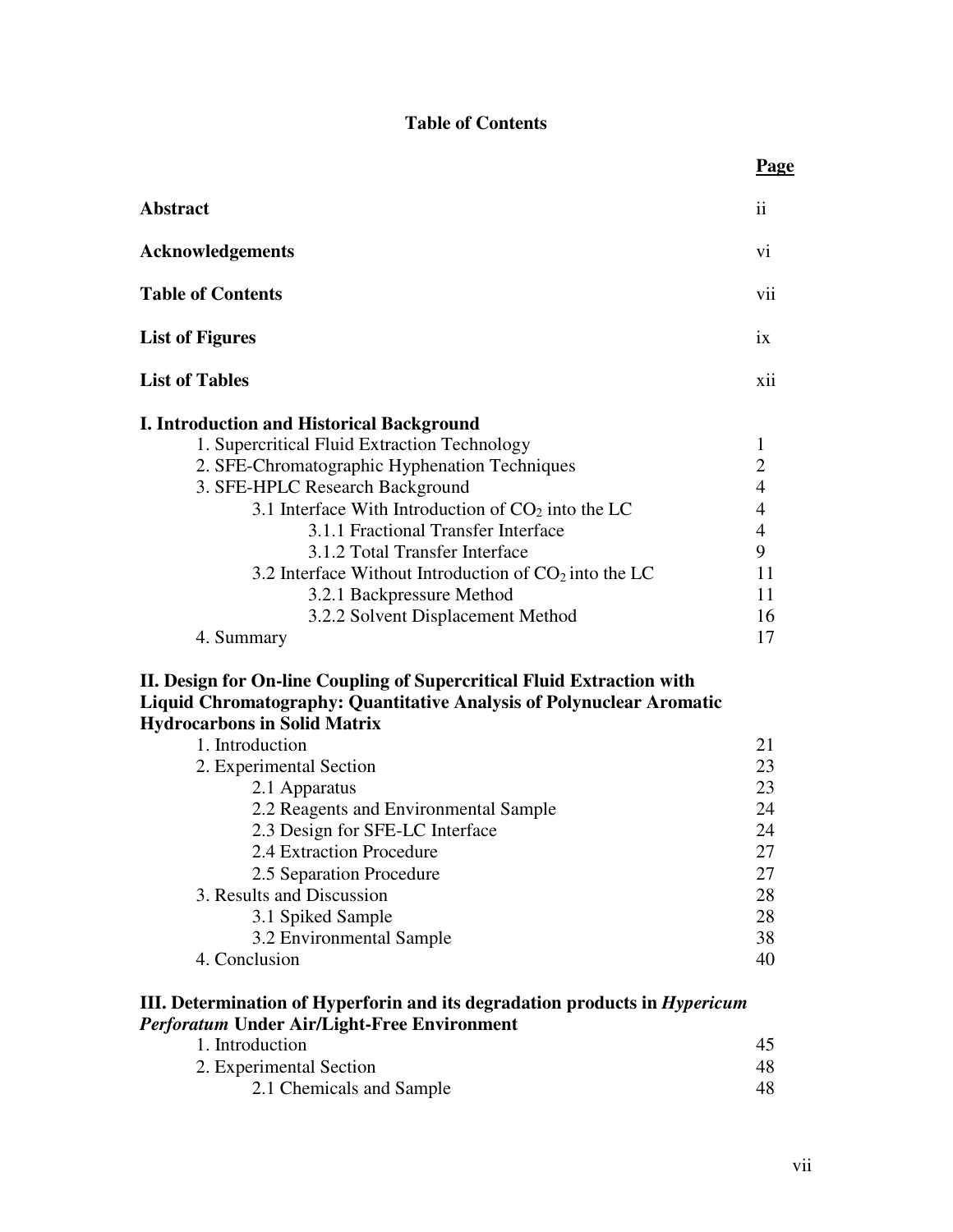# **Table of Contents**

|                                                                                                                                                                                                                                                                                                                                                                                                                                                                  | Page                                                                                                   |
|------------------------------------------------------------------------------------------------------------------------------------------------------------------------------------------------------------------------------------------------------------------------------------------------------------------------------------------------------------------------------------------------------------------------------------------------------------------|--------------------------------------------------------------------------------------------------------|
| <b>Abstract</b>                                                                                                                                                                                                                                                                                                                                                                                                                                                  | $\mathbf{ii}$                                                                                          |
| <b>Acknowledgements</b>                                                                                                                                                                                                                                                                                                                                                                                                                                          | vi                                                                                                     |
| <b>Table of Contents</b>                                                                                                                                                                                                                                                                                                                                                                                                                                         | vii                                                                                                    |
| <b>List of Figures</b>                                                                                                                                                                                                                                                                                                                                                                                                                                           | ix                                                                                                     |
| <b>List of Tables</b>                                                                                                                                                                                                                                                                                                                                                                                                                                            | xii                                                                                                    |
| <b>I. Introduction and Historical Background</b><br>1. Supercritical Fluid Extraction Technology<br>2. SFE-Chromatographic Hyphenation Techniques<br>3. SFE-HPLC Research Background<br>3.1 Interface With Introduction of $CO2$ into the LC<br>3.1.1 Fractional Transfer Interface<br>3.1.2 Total Transfer Interface<br>3.2 Interface Without Introduction of $CO2$ into the LC<br>3.2.1 Backpressure Method<br>3.2.2 Solvent Displacement Method<br>4. Summary | 1<br>$\overline{2}$<br>$\overline{4}$<br>$\overline{4}$<br>$\overline{4}$<br>9<br>11<br>11<br>16<br>17 |
| II. Design for On-line Coupling of Supercritical Fluid Extraction with<br><b>Liquid Chromatography: Quantitative Analysis of Polynuclear Aromatic</b><br><b>Hydrocarbons in Solid Matrix</b>                                                                                                                                                                                                                                                                     |                                                                                                        |
| 1. Introduction<br>2. Experimental Section<br>2.1 Apparatus<br>2.2 Reagents and Environmental Sample<br>2.3 Design for SFE-LC Interface<br>2.4 Extraction Procedure<br>2.5 Separation Procedure<br>3. Results and Discussion<br>3.1 Spiked Sample<br>3.2 Environmental Sample<br>4. Conclusion                                                                                                                                                                   | 21<br>23<br>23<br>24<br>24<br>27<br>27<br>28<br>28<br>38<br>40                                         |
| III. Determination of Hyperforin and its degradation products in <i>Hypericum</i><br>Perforatum Under Air/Light-Free Environment<br>1. Introduction                                                                                                                                                                                                                                                                                                              | 45                                                                                                     |
| 2. Experimental Section<br>2.1 Chemicals and Sample                                                                                                                                                                                                                                                                                                                                                                                                              | 48<br>48                                                                                               |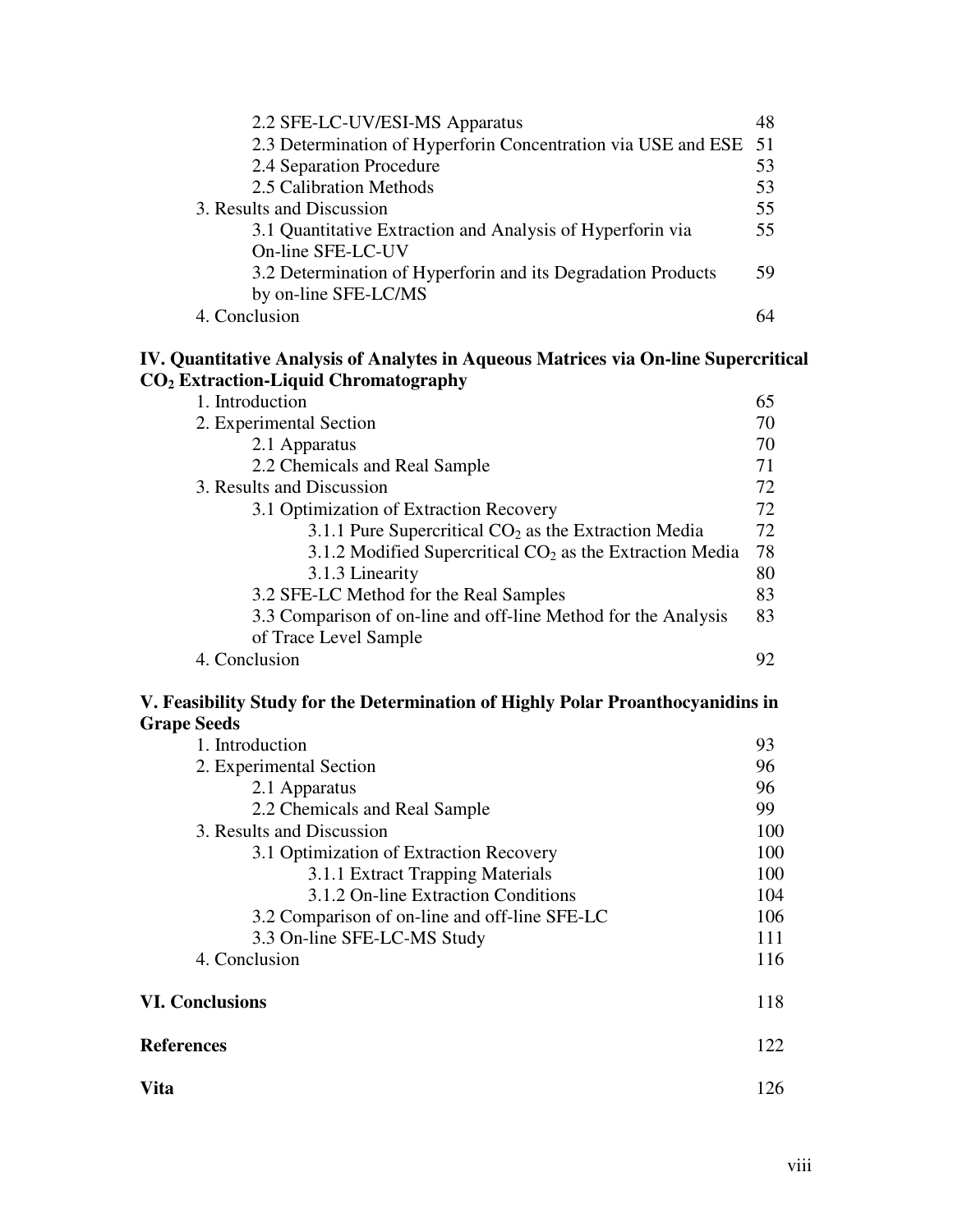| 2.2 SFE-LC-UV/ESI-MS Apparatus                                   | 48 |
|------------------------------------------------------------------|----|
| 2.3 Determination of Hyperforin Concentration via USE and ESE 51 |    |
| 2.4 Separation Procedure                                         | 53 |
| 2.5 Calibration Methods                                          | 53 |
| 3. Results and Discussion                                        | 55 |
| 3.1 Quantitative Extraction and Analysis of Hyperforin via       | 55 |
| On-line SFE-LC-UV                                                |    |
| 3.2 Determination of Hyperforin and its Degradation Products     | 59 |
| by on-line SFE-LC/MS                                             |    |
| 4. Conclusion                                                    |    |

## **IV. Quantitative Analysis of Analytes in Aqueous Matrices via On-line Supercritical CO<sup>2</sup> Extraction-Liquid Chromatography**

| 1. Introduction                                                | 65  |
|----------------------------------------------------------------|-----|
| 2. Experimental Section                                        |     |
| 2.1 Apparatus                                                  | 70  |
| 2.2 Chemicals and Real Sample                                  | 71  |
| 3. Results and Discussion                                      | 72  |
| 3.1 Optimization of Extraction Recovery                        | 72  |
| 3.1.1 Pure Supercritical $CO2$ as the Extraction Media         | 72  |
| 3.1.2 Modified Supercritical $CO2$ as the Extraction Media     | 78  |
| 3.1.3 Linearity                                                | 80  |
| 3.2 SFE-LC Method for the Real Samples                         | 83  |
| 3.3 Comparison of on-line and off-line Method for the Analysis | 83  |
| of Trace Level Sample                                          |     |
| 4. Conclusion                                                  | 92. |

## **V. Feasibility Study for the Determination of Highly Polar Proanthocyanidins in Grape Seeds**

| 1. Introduction                               | 93  |
|-----------------------------------------------|-----|
| 2. Experimental Section                       | 96  |
| 2.1 Apparatus                                 | 96  |
| 2.2 Chemicals and Real Sample                 | 99  |
| 3. Results and Discussion                     |     |
| 3.1 Optimization of Extraction Recovery       | 100 |
| 3.1.1 Extract Trapping Materials              | 100 |
| 3.1.2 On-line Extraction Conditions           | 104 |
| 3.2 Comparison of on-line and off-line SFE-LC | 106 |
| 3.3 On-line SFE-LC-MS Study                   | 111 |
| 4. Conclusion                                 | 116 |
| <b>VI. Conclusions</b>                        | 118 |
| <b>References</b>                             | 122 |
| Vita                                          | 126 |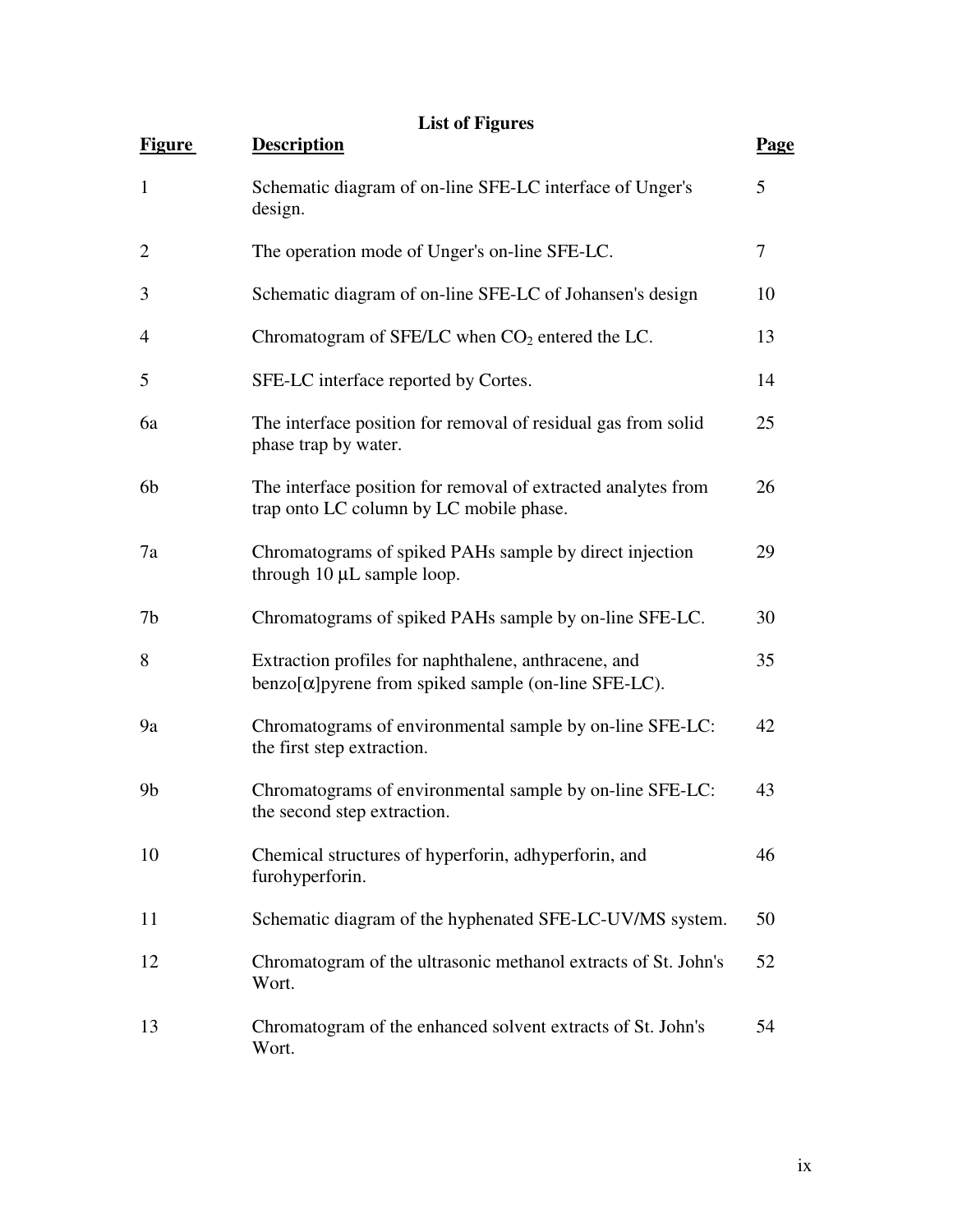| <b>List of Figures</b> |  |  |
|------------------------|--|--|
|------------------------|--|--|

| <b>Figure</b>  | <b>Description</b>                                                                                             | <b>Page</b> |
|----------------|----------------------------------------------------------------------------------------------------------------|-------------|
| $\mathbf{1}$   | Schematic diagram of on-line SFE-LC interface of Unger's<br>design.                                            | 5           |
| $\overline{2}$ | The operation mode of Unger's on-line SFE-LC.                                                                  | 7           |
| 3              | Schematic diagram of on-line SFE-LC of Johansen's design                                                       | 10          |
| 4              | Chromatogram of SFE/LC when $CO2$ entered the LC.                                                              | 13          |
| 5              | SFE-LC interface reported by Cortes.                                                                           | 14          |
| 6a             | The interface position for removal of residual gas from solid<br>phase trap by water.                          | 25          |
| 6 <sub>b</sub> | The interface position for removal of extracted analytes from<br>trap onto LC column by LC mobile phase.       | 26          |
| 7a             | Chromatograms of spiked PAHs sample by direct injection<br>through 10 µL sample loop.                          | 29          |
| 7b             | Chromatograms of spiked PAHs sample by on-line SFE-LC.                                                         | 30          |
| 8              | Extraction profiles for naphthalene, anthracene, and<br>$benzo[α]$ pyrene from spiked sample (on-line SFE-LC). | 35          |
| 9a             | Chromatograms of environmental sample by on-line SFE-LC:<br>the first step extraction.                         | 42          |
| 9 <sub>b</sub> | Chromatograms of environmental sample by on-line SFE-LC:<br>the second step extraction.                        | 43          |
| 10             | Chemical structures of hyperforin, adhyperforin, and<br>furohyperforin.                                        | 46          |
| 11             | Schematic diagram of the hyphenated SFE-LC-UV/MS system.                                                       | 50          |
| 12             | Chromatogram of the ultrasonic methanol extracts of St. John's<br>Wort.                                        | 52          |
| 13             | Chromatogram of the enhanced solvent extracts of St. John's<br>Wort.                                           | 54          |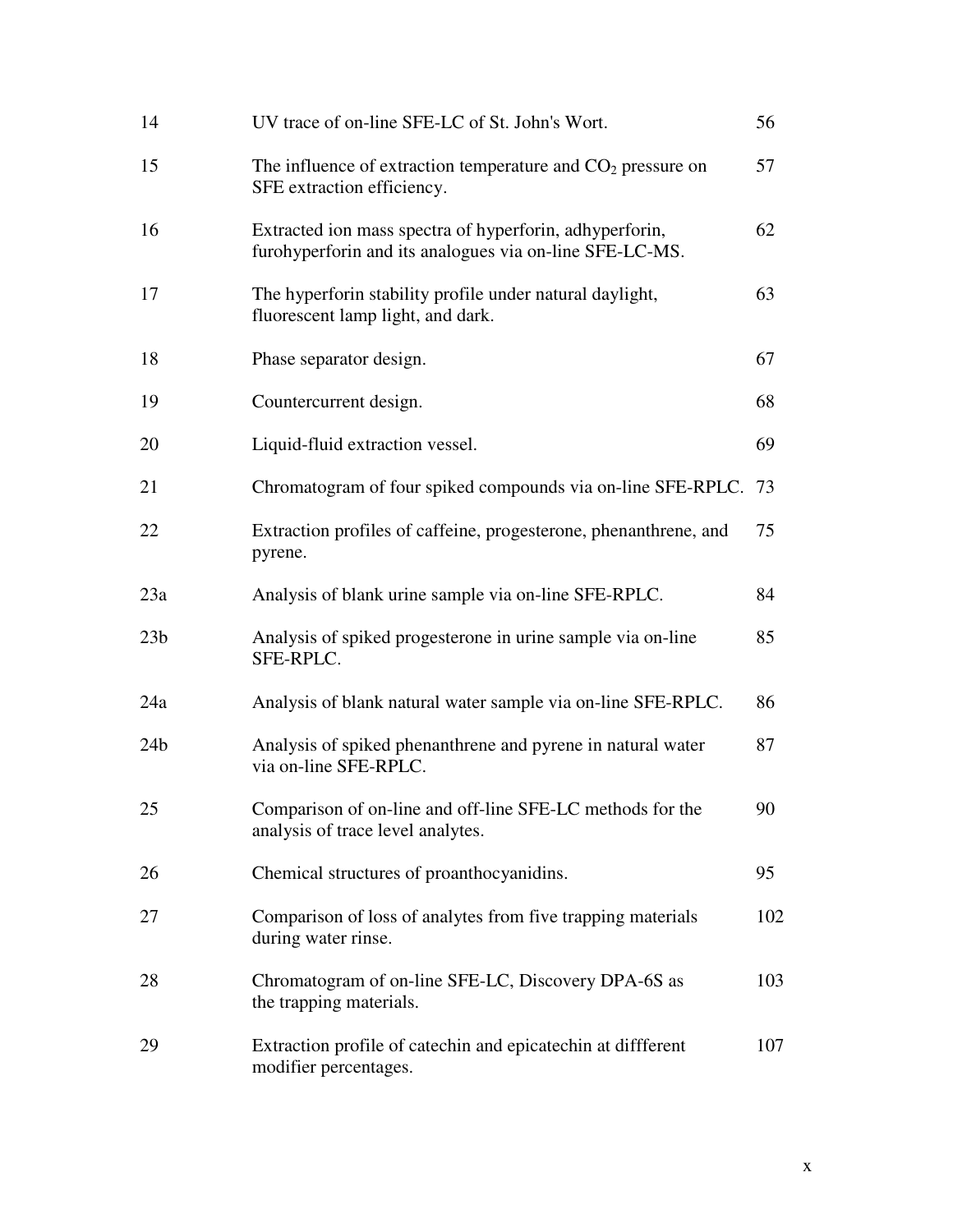| 14              | UV trace of on-line SFE-LC of St. John's Wort.                                                                     | 56  |
|-----------------|--------------------------------------------------------------------------------------------------------------------|-----|
| 15              | The influence of extraction temperature and $CO2$ pressure on<br>SFE extraction efficiency.                        | 57  |
| 16              | Extracted ion mass spectra of hyperforin, adhyperforin,<br>furohyperforin and its analogues via on-line SFE-LC-MS. | 62  |
| 17              | The hyperforin stability profile under natural daylight,<br>fluorescent lamp light, and dark.                      | 63  |
| 18              | Phase separator design.                                                                                            | 67  |
| 19              | Countercurrent design.                                                                                             | 68  |
| 20              | Liquid-fluid extraction vessel.                                                                                    | 69  |
| 21              | Chromatogram of four spiked compounds via on-line SFE-RPLC.                                                        | 73  |
| 22              | Extraction profiles of caffeine, progesterone, phenanthrene, and<br>pyrene.                                        | 75  |
| 23a             | Analysis of blank urine sample via on-line SFE-RPLC.                                                               | 84  |
| 23 <sub>b</sub> | Analysis of spiked progesterone in urine sample via on-line<br>SFE-RPLC.                                           | 85  |
| 24a             | Analysis of blank natural water sample via on-line SFE-RPLC.                                                       | 86  |
| 24 <sub>b</sub> | Analysis of spiked phenanthrene and pyrene in natural water<br>via on-line SFE-RPLC.                               | 87  |
| 25              | Comparison of on-line and off-line SFE-LC methods for the<br>analysis of trace level analytes.                     | 90  |
| 26              | Chemical structures of proanthocyanidins.                                                                          | 95  |
| 27              | Comparison of loss of analytes from five trapping materials<br>during water rinse.                                 | 102 |
| 28              | Chromatogram of on-line SFE-LC, Discovery DPA-6S as<br>the trapping materials.                                     | 103 |
| 29              | Extraction profile of catechin and epicatechin at diffferent<br>modifier percentages.                              | 107 |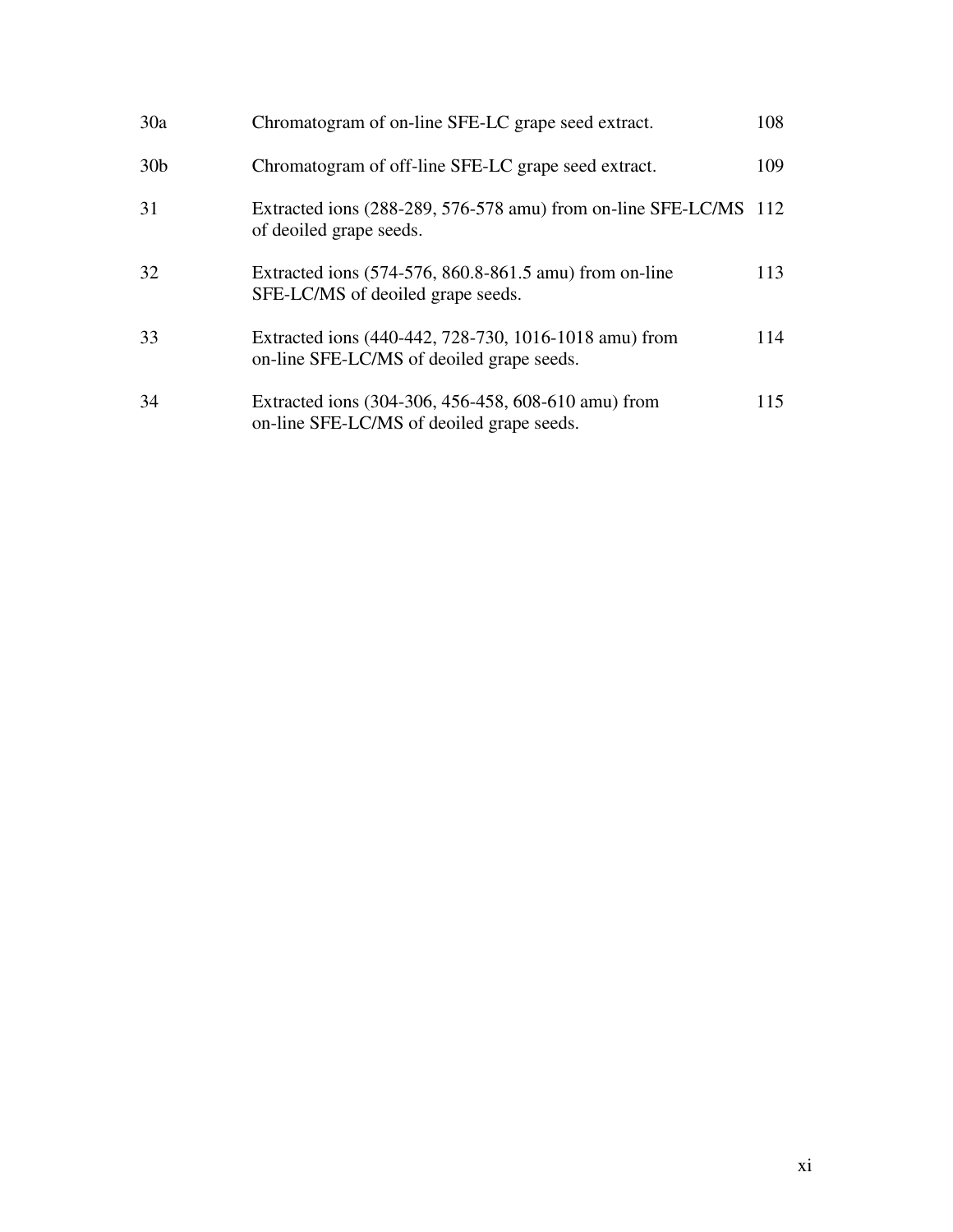| 30a             | Chromatogram of on-line SFE-LC grape seed extract.                                                 | 108 |
|-----------------|----------------------------------------------------------------------------------------------------|-----|
| 30 <sub>b</sub> | Chromatogram of off-line SFE-LC grape seed extract.                                                | 109 |
| 31              | Extracted ions (288-289, 576-578 amu) from on-line SFE-LC/MS 112<br>of deoiled grape seeds.        |     |
| 32              | Extracted ions (574-576, 860.8-861.5 amu) from on-line<br>SFE-LC/MS of deoiled grape seeds.        | 113 |
| 33              | Extracted ions (440-442, 728-730, 1016-1018 amu) from<br>on-line SFE-LC/MS of deoiled grape seeds. | 114 |
| 34              | Extracted ions (304-306, 456-458, 608-610 amu) from<br>on-line SFE-LC/MS of deoiled grape seeds.   | 115 |